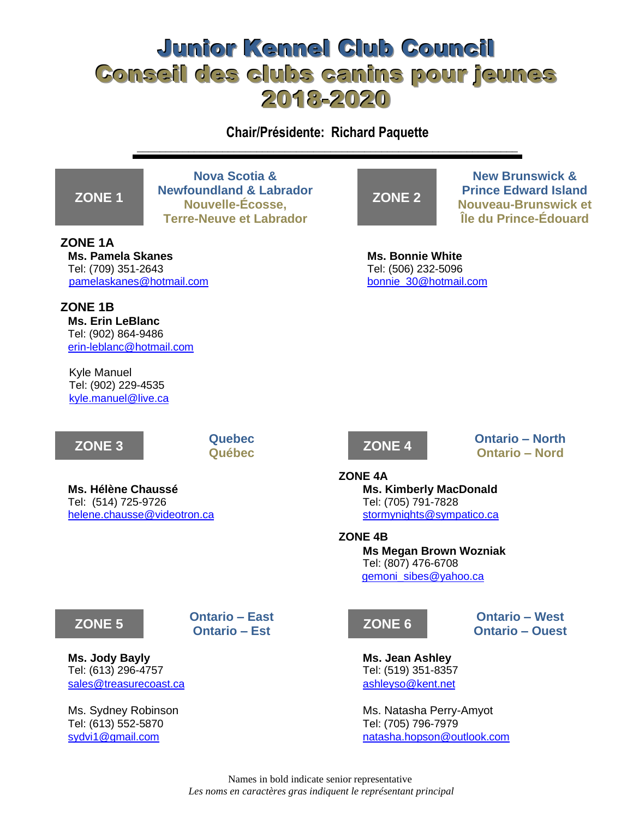# Junior Kennel Club Council Conseil des clubs canins pour jeunes 2018-2020

**Chair/Présidente: Richard Paquette** \_\_\_\_\_\_\_\_\_\_\_\_\_\_\_\_\_\_\_\_\_\_\_\_\_\_\_\_\_\_\_\_\_\_\_\_\_\_\_\_\_\_\_\_\_\_\_\_\_\_\_\_\_\_\_\_\_\_\_\_\_\_\_\_\_\_\_

## **ZONE 1**

**ZONE 1A**

**Nova Scotia & Newfoundland & Labrador Nouvelle-Écosse, Terre-Neuve et Labrador**

**ZONE 2**

**New Brunswick & Prince Edward Island Nouveau-Brunswick et Île du Prince-Édouard**

**Ms. Pamela Skanes Ms. Bonnie White** Tel: (709) 351-2643 Tel: (506) 232-5096 [pamelaskanes@hotmail.com](mailto:pamelaskanes@hotmail.com) [bonnie\\_30@hotmail.com](mailto:bonnie_30@hotmail.com)

**ZONE 1B Ms. Erin LeBlanc** Tel: (902) 864-9486 [erin-leblanc@hotmail.com](mailto:erin-leblanc@hotmail.com)

Kyle Manuel Tel: (902) 229-4535 [kyle.manuel@live.ca](mailto:kyle.manuel@live.ca)



**Ms. Hélène Chaussé Ms. Kimberly MacDonald** Tel: (514) 725-9726 Tel: (705) 791-7828 [helene.chausse@videotron.ca](mailto:helene.chausse@videotron.ca) [stormynights@sympatico.ca](mailto:stormynights@sympatico.ca)



**Québec ZONE 4 Ontario – North Ontario – Nord**

### **ZONE 4A**

**ZONE 4B Ms Megan Brown Wozniak** Tel: (807) 476-6708 [gemoni\\_sibes@yahoo.ca](mailto:gemoni_sibes@yahoo.ca)

**Ontario – Est ZONE 6 Ontario – West Ontario – Ouest**

Ms. Sydney Robinson Ms. Natasha Perry-Amyot [sydvi1@gmail.com](mailto:sydvi1@gmail.com) [natasha.hopson@outlook.com](mailto:natasha.hopson@outlook.com)

## **ZONE 5 Ontario – East**

**Ms. Jody Bayly Ms. Jean Ashley** Tel: (613) 296-4757 Tel: (519) 351-8357 [sales@treasurecoast.ca](mailto:sales@treasurecoast.ca) [ashleyso@kent.net](mailto:ashleyso@kent.net)

Tel: (613) 552-5870 Tel: (705) 796-7979

Names in bold indicate senior representative *Les noms en caractères gras indiquent le représentant principal*